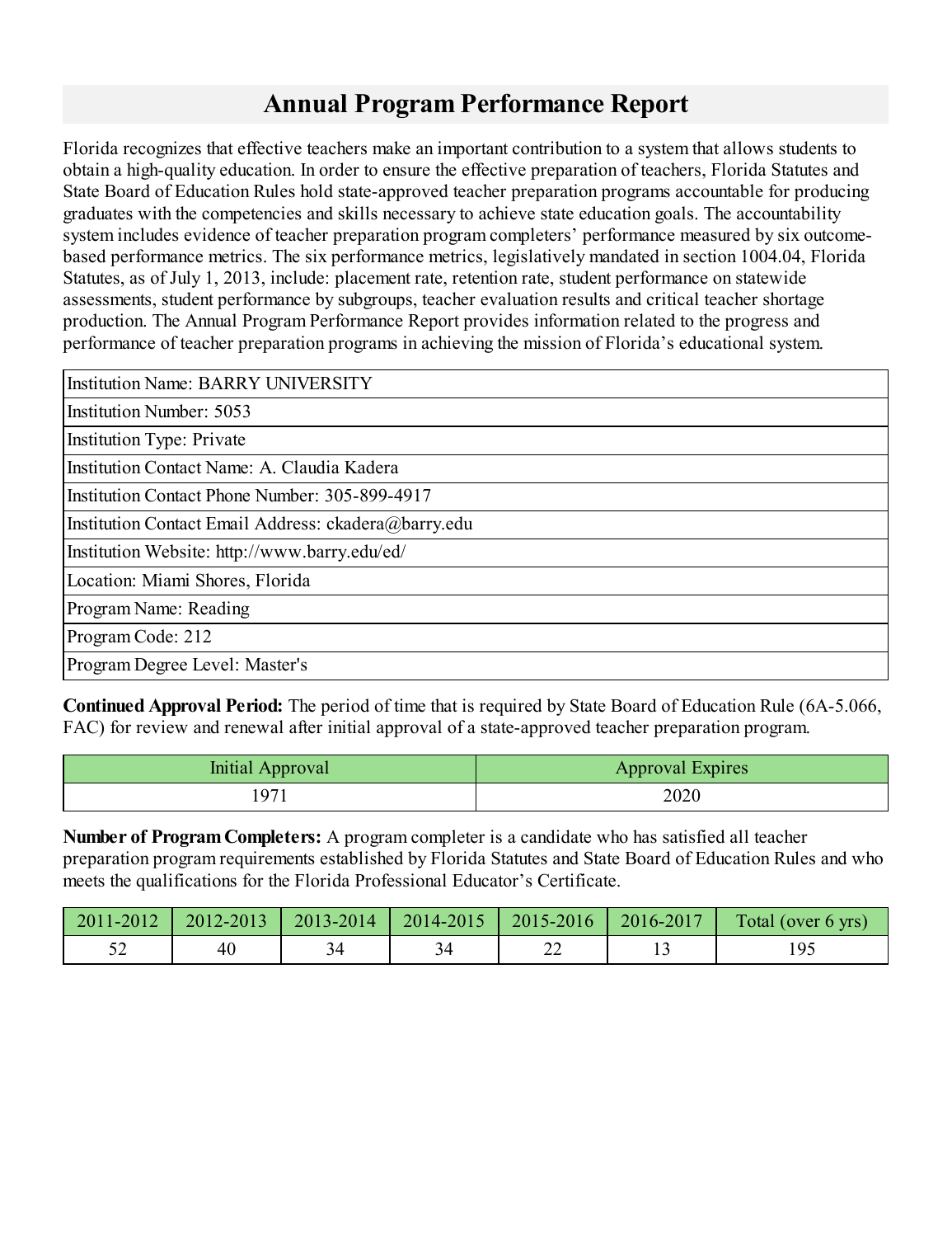# **Annual Program Performance Report**

Florida recognizes that effective teachers make an important contribution to a systemthat allows students to obtain a high-quality education. In order to ensure the effective preparation of teachers, Florida Statutes and State Board of Education Rules hold state-approved teacher preparation programs accountable for producing graduates with the competencies and skills necessary to achieve state education goals. The accountability system includes evidence of teacher preparation program completers' performance measured by six outcomebased performance metrics. The six performance metrics, legislatively mandated in section 1004.04, Florida Statutes, as of July 1, 2013, include: placement rate, retention rate, student performance on statewide assessments, student performance by subgroups, teacher evaluation results and critical teacher shortage production. The Annual Program Performance Report provides information related to the progress and performance of teacher preparation programs in achieving the mission of Florida's educational system.

| <b>Institution Name: BARRY UNIVERSITY</b>            |
|------------------------------------------------------|
| <b>Institution Number: 5053</b>                      |
| <b>Institution Type: Private</b>                     |
| Institution Contact Name: A. Claudia Kadera          |
| Institution Contact Phone Number: 305-899-4917       |
| Institution Contact Email Address: ckadera@barry.edu |
| Institution Website: http://www.barry.edu/ed/        |
| Location: Miami Shores, Florida                      |
| Program Name: Reading                                |
| Program Code: 212                                    |
| Program Degree Level: Master's                       |

**Continued Approval Period:** The period of time that is required by State Board of Education Rule (6A-5.066, FAC) for review and renewal after initial approval of a state-approved teacher preparation program.

| Initial Approval | <b>Approval Expires</b> |
|------------------|-------------------------|
| $ 97\rangle$     | 2020                    |

**Number of ProgramCompleters:** A programcompleter is a candidate who has satisfied all teacher preparation programrequirements established by Florida Statutes and State Board of Education Rules and who meets the qualifications for the Florida Professional Educator's Certificate.

|    |  |          | 2011-2012   2012-2013   2013-2014   2014-2015   2015-2016   2016-2017 | Total (over 6 yrs) |
|----|--|----------|-----------------------------------------------------------------------|--------------------|
| 40 |  | ^^<br>∠∠ |                                                                       |                    |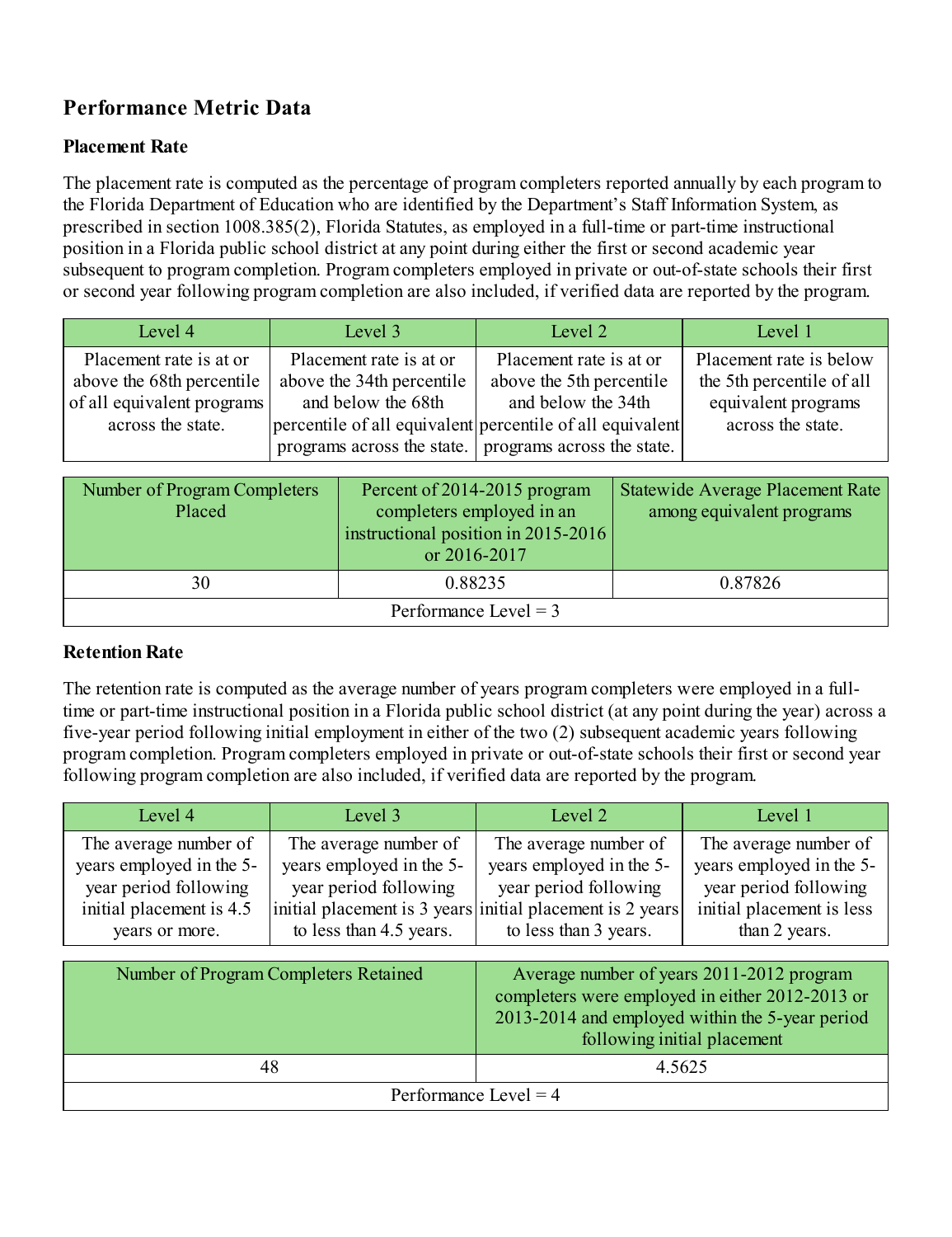# **Performance Metric Data**

## **Placement Rate**

The placement rate is computed as the percentage of program completers reported annually by each program to the Florida Department of Education who are identified by the Department's Staff Information System, as prescribed in section 1008.385(2), Florida Statutes, as employed in a full-time or part-time instructional position in a Florida public school district at any point during either the first or second academic year subsequent to program completion. Program completers employed in private or out-of-state schools their first or second year following programcompletion are also included, if verified data are reported by the program.

| Level 4                                                                                                 | Level 3                                                                    | Level 2                                                                                                                                                                                           | Level 1                                                                                          |
|---------------------------------------------------------------------------------------------------------|----------------------------------------------------------------------------|---------------------------------------------------------------------------------------------------------------------------------------------------------------------------------------------------|--------------------------------------------------------------------------------------------------|
| Placement rate is at or<br>above the 68th percentile<br>of all equivalent programs<br>across the state. | Placement rate is at or<br>above the 34th percentile<br>and below the 68th | Placement rate is at or<br>above the 5th percentile<br>and below the 34th<br>percentile of all equivalent percentile of all equivalent<br>programs across the state.   programs across the state. | Placement rate is below<br>the 5th percentile of all<br>equivalent programs<br>across the state. |

| Number of Program Completers<br>Placed | Percent of 2014-2015 program<br>completers employed in an<br>instructional position in 2015-2016<br>or 2016-2017 | Statewide Average Placement Rate<br>among equivalent programs |
|----------------------------------------|------------------------------------------------------------------------------------------------------------------|---------------------------------------------------------------|
| 30                                     | 0.88235                                                                                                          | 0.87826                                                       |
|                                        | Performance Level $=$ 3                                                                                          |                                                               |

## **Retention Rate**

The retention rate is computed as the average number of years programcompleters were employed in a fulltime or part-time instructional position in a Florida public school district (at any point during the year) across a five-year period following initial employment in either of the two (2) subsequent academic years following programcompletion. Programcompleters employed in private or out-of-state schools their first or second year following program completion are also included, if verified data are reported by the program.

| Level 4                  | Level 3                                                   | Level 2                  | Level 1                   |
|--------------------------|-----------------------------------------------------------|--------------------------|---------------------------|
| The average number of    | The average number of                                     | The average number of    | The average number of     |
| years employed in the 5- | years employed in the 5-                                  | years employed in the 5- | years employed in the 5-  |
| year period following    | year period following                                     | year period following    | year period following     |
| initial placement is 4.5 | initial placement is 3 years initial placement is 2 years | to less than 3 years.    | initial placement is less |
| years or more.           | to less than 4.5 years.                                   |                          | than 2 years.             |

| Number of Program Completers Retained | Average number of years 2011-2012 program<br>completers were employed in either 2012-2013 or<br>2013-2014 and employed within the 5-year period<br>following initial placement |  |  |
|---------------------------------------|--------------------------------------------------------------------------------------------------------------------------------------------------------------------------------|--|--|
| 48                                    | 4.5625                                                                                                                                                                         |  |  |
| Performance Level = $4$               |                                                                                                                                                                                |  |  |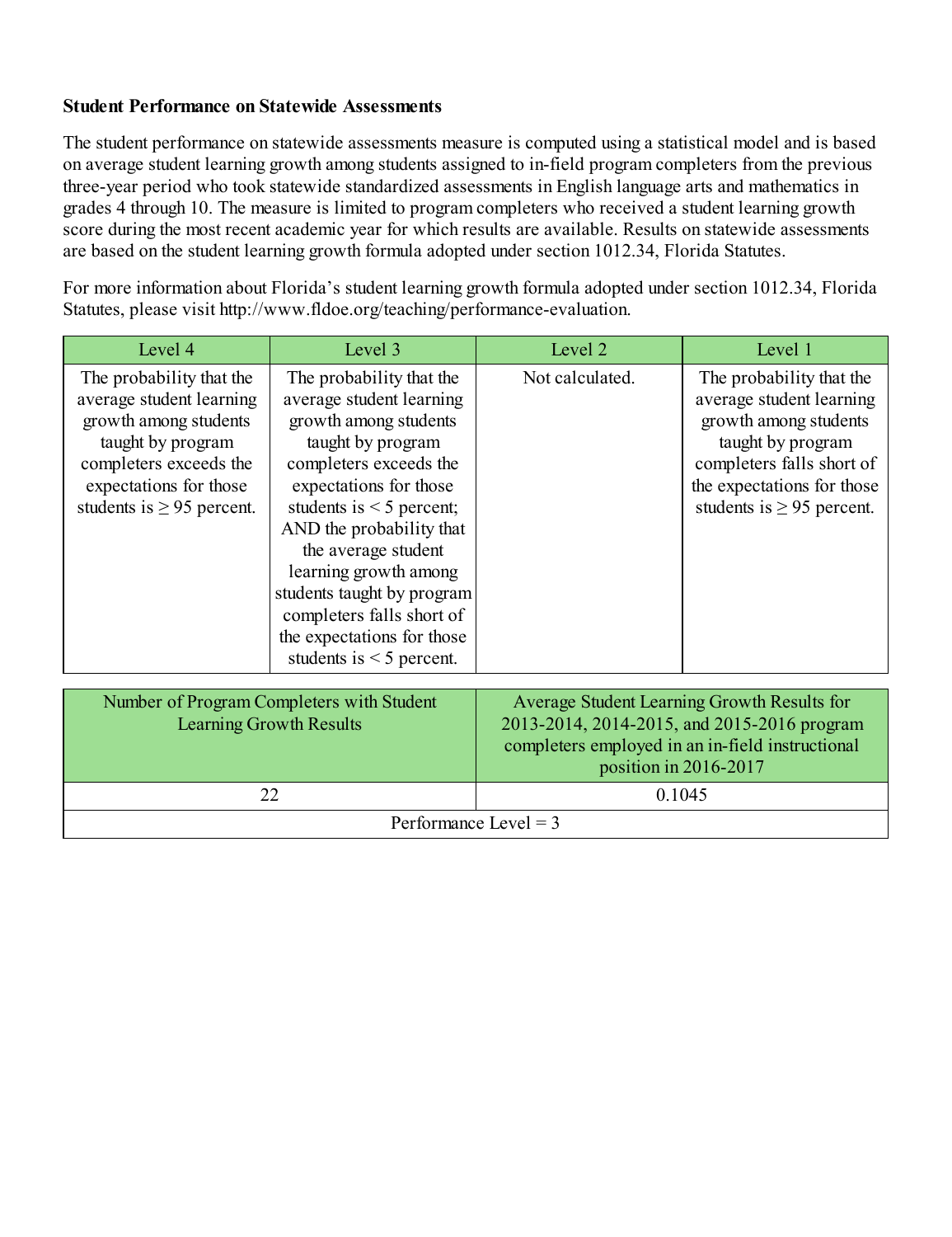#### **Student Performance on Statewide Assessments**

The student performance on statewide assessments measure is computed using a statistical model and is based on average student learning growth among students assigned to in-field programcompleters fromthe previous three-year period who took statewide standardized assessments in English language arts and mathematics in grades 4 through 10. The measure is limited to programcompleters who received a student learning growth score during the most recent academic year for which results are available. Results on statewide assessments are based on the student learning growth formula adopted under section 1012.34, Florida Statutes.

For more information about Florida's student learning growth formula adopted under section 1012.34, Florida Statutes, please visit http://www.fldoe.org/teaching/performance-evaluation.

| Level 4                                                                                                                                                                                  | Level 3                                                                                                                                                                                                                                                                                                                                                                                       | Level 2               | Level 1                                                                                                                                                                                         |
|------------------------------------------------------------------------------------------------------------------------------------------------------------------------------------------|-----------------------------------------------------------------------------------------------------------------------------------------------------------------------------------------------------------------------------------------------------------------------------------------------------------------------------------------------------------------------------------------------|-----------------------|-------------------------------------------------------------------------------------------------------------------------------------------------------------------------------------------------|
| The probability that the<br>average student learning<br>growth among students<br>taught by program<br>completers exceeds the<br>expectations for those<br>students is $\geq$ 95 percent. | The probability that the<br>average student learning<br>growth among students<br>taught by program<br>completers exceeds the<br>expectations for those<br>students is $\leq$ 5 percent;<br>AND the probability that<br>the average student<br>learning growth among<br>students taught by program<br>completers falls short of<br>the expectations for those<br>students is $\leq$ 5 percent. | Not calculated.       | The probability that the<br>average student learning<br>growth among students<br>taught by program<br>completers falls short of<br>the expectations for those<br>students is $\geq$ 95 percent. |
| Number of Program Completers with Student<br><b>Learning Growth Results</b>                                                                                                              |                                                                                                                                                                                                                                                                                                                                                                                               | position in 2016-2017 | Average Student Learning Growth Results for<br>2013-2014, 2014-2015, and 2015-2016 program<br>completers employed in an in-field instructional                                                  |
|                                                                                                                                                                                          | 22                                                                                                                                                                                                                                                                                                                                                                                            | 0.1045                |                                                                                                                                                                                                 |

| Performance Level $=$ 3 |  |  |
|-------------------------|--|--|
|                         |  |  |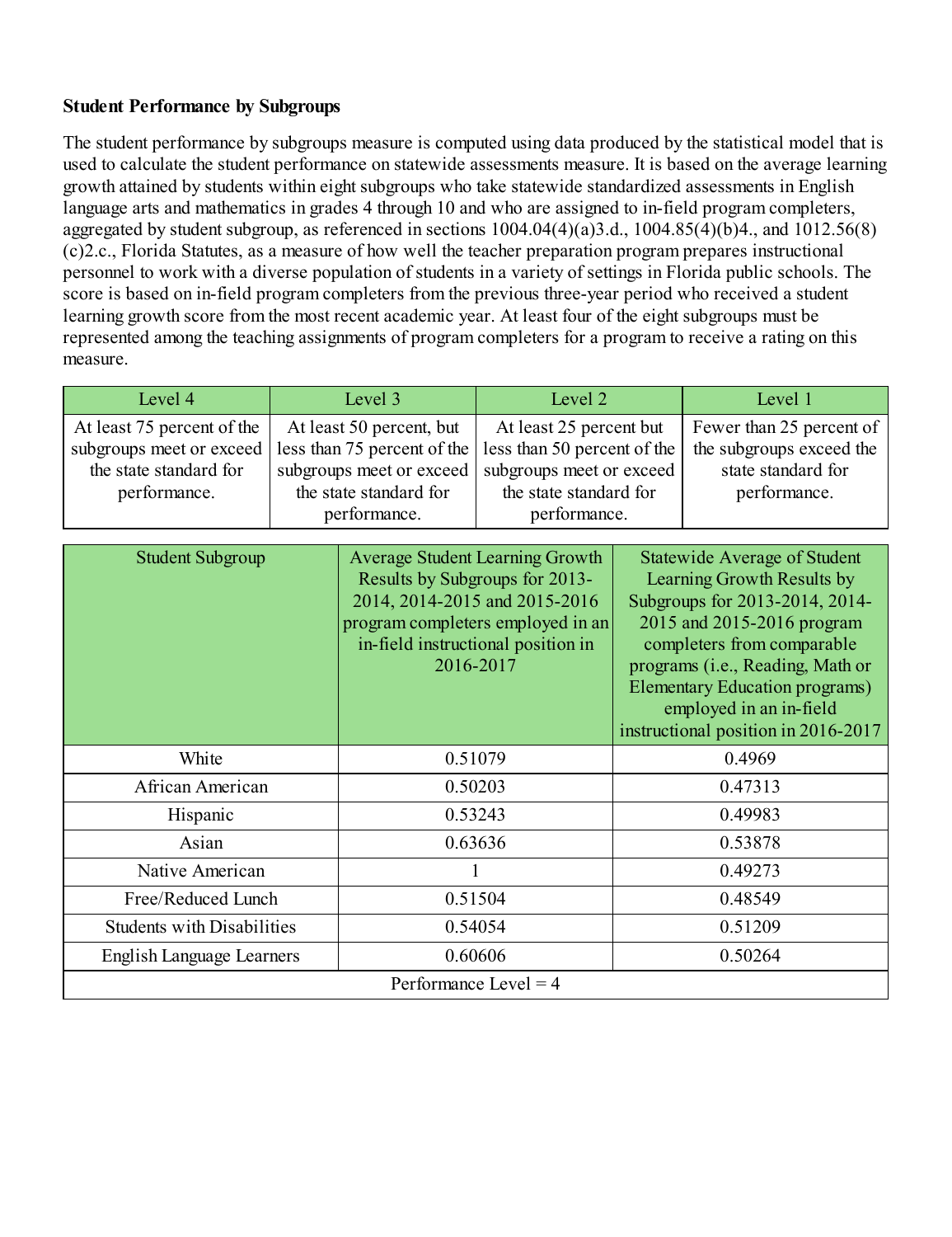#### **Student Performance by Subgroups**

The student performance by subgroups measure is computed using data produced by the statistical model that is used to calculate the student performance on statewide assessments measure. It is based on the average learning growth attained by students within eight subgroups who take statewide standardized assessments in English language arts and mathematics in grades 4 through 10 and who are assigned to in-field program completers, aggregated by student subgroup, as referenced in sections  $1004.04(4)(a)3.d., 1004.85(4)(b)4.,$  and  $1012.56(8)$ (c)2.c., Florida Statutes, as a measure of how well the teacher preparation programprepares instructional personnel to work with a diverse population of students in a variety of settings in Florida public schools. The score is based on in-field program completers from the previous three-year period who received a student learning growth score fromthe most recent academic year. At least four of the eight subgroups must be represented among the teaching assignments of programcompleters for a programto receive a rating on this measure.

| Level 4                                                                                          | Level 3                                                                                                                       |                                                                                                                                                                                                   | Level 2                                                                                                                      |  | Level 1                                                                                                                                                                                                                                                                                                        |
|--------------------------------------------------------------------------------------------------|-------------------------------------------------------------------------------------------------------------------------------|---------------------------------------------------------------------------------------------------------------------------------------------------------------------------------------------------|------------------------------------------------------------------------------------------------------------------------------|--|----------------------------------------------------------------------------------------------------------------------------------------------------------------------------------------------------------------------------------------------------------------------------------------------------------------|
| At least 75 percent of the<br>subgroups meet or exceed<br>the state standard for<br>performance. | At least 50 percent, but<br>less than 75 percent of the<br>subgroups meet or exceed<br>the state standard for<br>performance. |                                                                                                                                                                                                   | At least 25 percent but<br>less than 50 percent of the<br>subgroups meet or exceed<br>the state standard for<br>performance. |  | Fewer than 25 percent of<br>the subgroups exceed the<br>state standard for<br>performance.                                                                                                                                                                                                                     |
| <b>Student Subgroup</b>                                                                          |                                                                                                                               | <b>Average Student Learning Growth</b><br>Results by Subgroups for 2013-<br>2014, 2014-2015 and 2015-2016<br>program completers employed in an<br>in-field instructional position in<br>2016-2017 |                                                                                                                              |  | <b>Statewide Average of Student</b><br>Learning Growth Results by<br>Subgroups for 2013-2014, 2014-<br>2015 and 2015-2016 program<br>completers from comparable<br>programs (i.e., Reading, Math or<br><b>Elementary Education programs)</b><br>employed in an in-field<br>instructional position in 2016-2017 |
| White                                                                                            |                                                                                                                               | 0.51079                                                                                                                                                                                           |                                                                                                                              |  | 0.4969                                                                                                                                                                                                                                                                                                         |
| African American                                                                                 |                                                                                                                               | 0.50203                                                                                                                                                                                           |                                                                                                                              |  | 0.47313                                                                                                                                                                                                                                                                                                        |
| Hispanic                                                                                         |                                                                                                                               | 0.53243                                                                                                                                                                                           |                                                                                                                              |  | 0.49983                                                                                                                                                                                                                                                                                                        |
| Asian                                                                                            |                                                                                                                               | 0.63636                                                                                                                                                                                           |                                                                                                                              |  | 0.53878                                                                                                                                                                                                                                                                                                        |
| Native American                                                                                  |                                                                                                                               |                                                                                                                                                                                                   |                                                                                                                              |  | 0.49273                                                                                                                                                                                                                                                                                                        |
| Free/Reduced Lunch                                                                               |                                                                                                                               | 0.51504                                                                                                                                                                                           |                                                                                                                              |  | 0.48549                                                                                                                                                                                                                                                                                                        |
| <b>Students with Disabilities</b>                                                                |                                                                                                                               | 0.54054                                                                                                                                                                                           |                                                                                                                              |  | 0.51209                                                                                                                                                                                                                                                                                                        |
| <b>English Language Learners</b>                                                                 |                                                                                                                               | 0.60606                                                                                                                                                                                           |                                                                                                                              |  | 0.50264                                                                                                                                                                                                                                                                                                        |
| Performance Level = $4$                                                                          |                                                                                                                               |                                                                                                                                                                                                   |                                                                                                                              |  |                                                                                                                                                                                                                                                                                                                |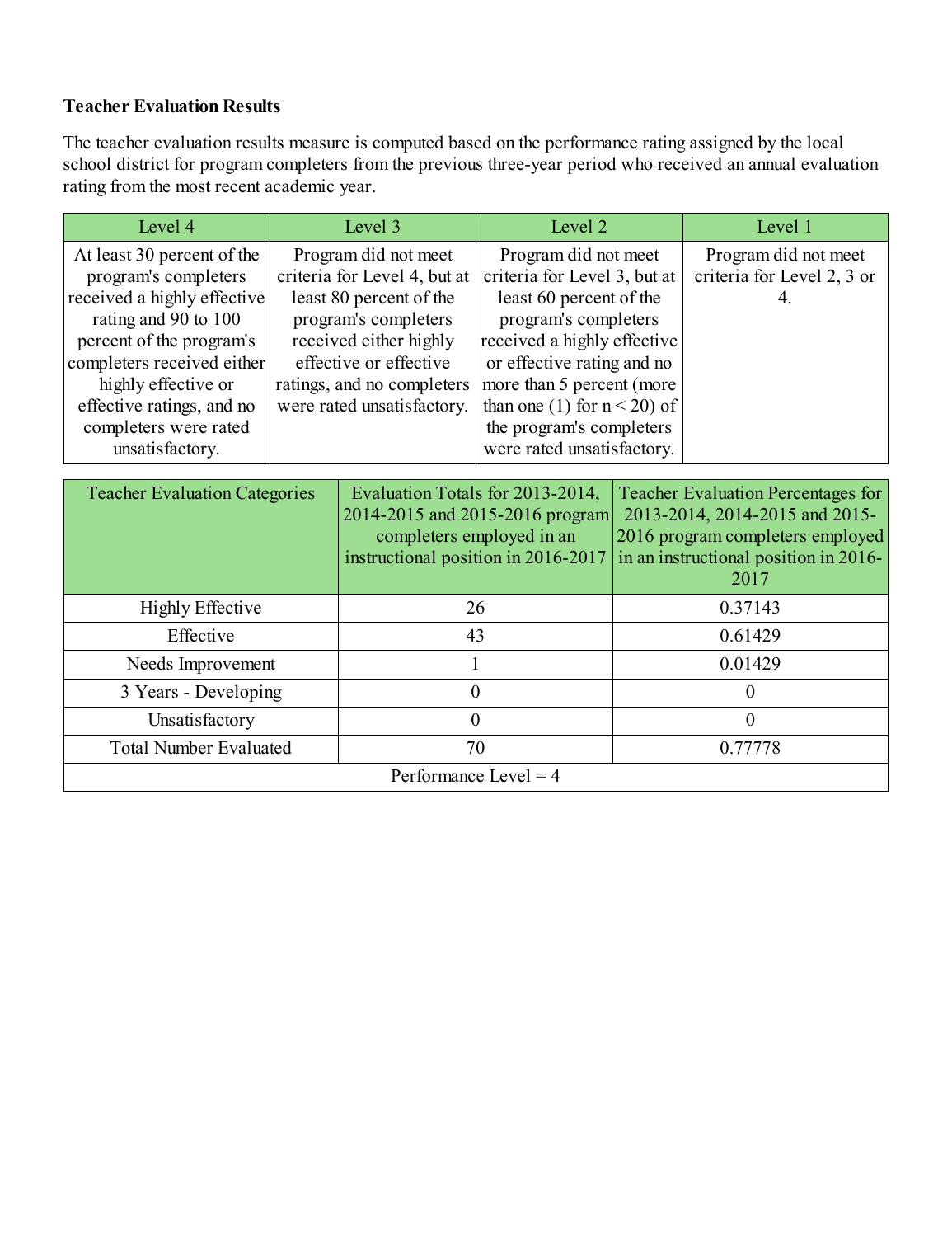### **Teacher Evaluation Results**

The teacher evaluation results measure is computed based on the performance rating assigned by the local school district for program completers from the previous three-year period who received an annual evaluation rating fromthe most recent academic year.

| Level 4                     | Level 3                      | Level 2                        | Level 1                    |
|-----------------------------|------------------------------|--------------------------------|----------------------------|
| At least 30 percent of the  | Program did not meet         | Program did not meet           | Program did not meet       |
| program's completers        | criteria for Level 4, but at | criteria for Level 3, but at   | criteria for Level 2, 3 or |
| received a highly effective | least 80 percent of the      | least 60 percent of the        |                            |
| rating and 90 to 100        | program's completers         | program's completers           |                            |
| percent of the program's    | received either highly       | received a highly effective    |                            |
| completers received either  | effective or effective       | or effective rating and no     |                            |
| highly effective or         | ratings, and no completers   | more than 5 percent (more      |                            |
| effective ratings, and no   | were rated unsatisfactory.   | than one (1) for $n < 20$ ) of |                            |
| completers were rated       |                              | the program's completers       |                            |
| unsatisfactory.             |                              | were rated unsatisfactory.     |                            |

| <b>Teacher Evaluation Categories</b> | Evaluation Totals for 2013-2014,<br>2014-2015 and 2015-2016 program<br>completers employed in an<br>instructional position in 2016-2017 | <b>Teacher Evaluation Percentages for</b><br>2013-2014, 2014-2015 and 2015-<br>2016 program completers employed<br>in an instructional position in 2016-<br>2017 |
|--------------------------------------|-----------------------------------------------------------------------------------------------------------------------------------------|------------------------------------------------------------------------------------------------------------------------------------------------------------------|
| <b>Highly Effective</b>              | 26                                                                                                                                      | 0.37143                                                                                                                                                          |
| Effective                            | 43                                                                                                                                      | 0.61429                                                                                                                                                          |
| Needs Improvement                    |                                                                                                                                         | 0.01429                                                                                                                                                          |
| 3 Years - Developing                 | 0                                                                                                                                       | $\theta$                                                                                                                                                         |
| Unsatisfactory                       |                                                                                                                                         | 0                                                                                                                                                                |
| <b>Total Number Evaluated</b>        | 70                                                                                                                                      | 0.77778                                                                                                                                                          |
|                                      | Performance Level = $4$                                                                                                                 |                                                                                                                                                                  |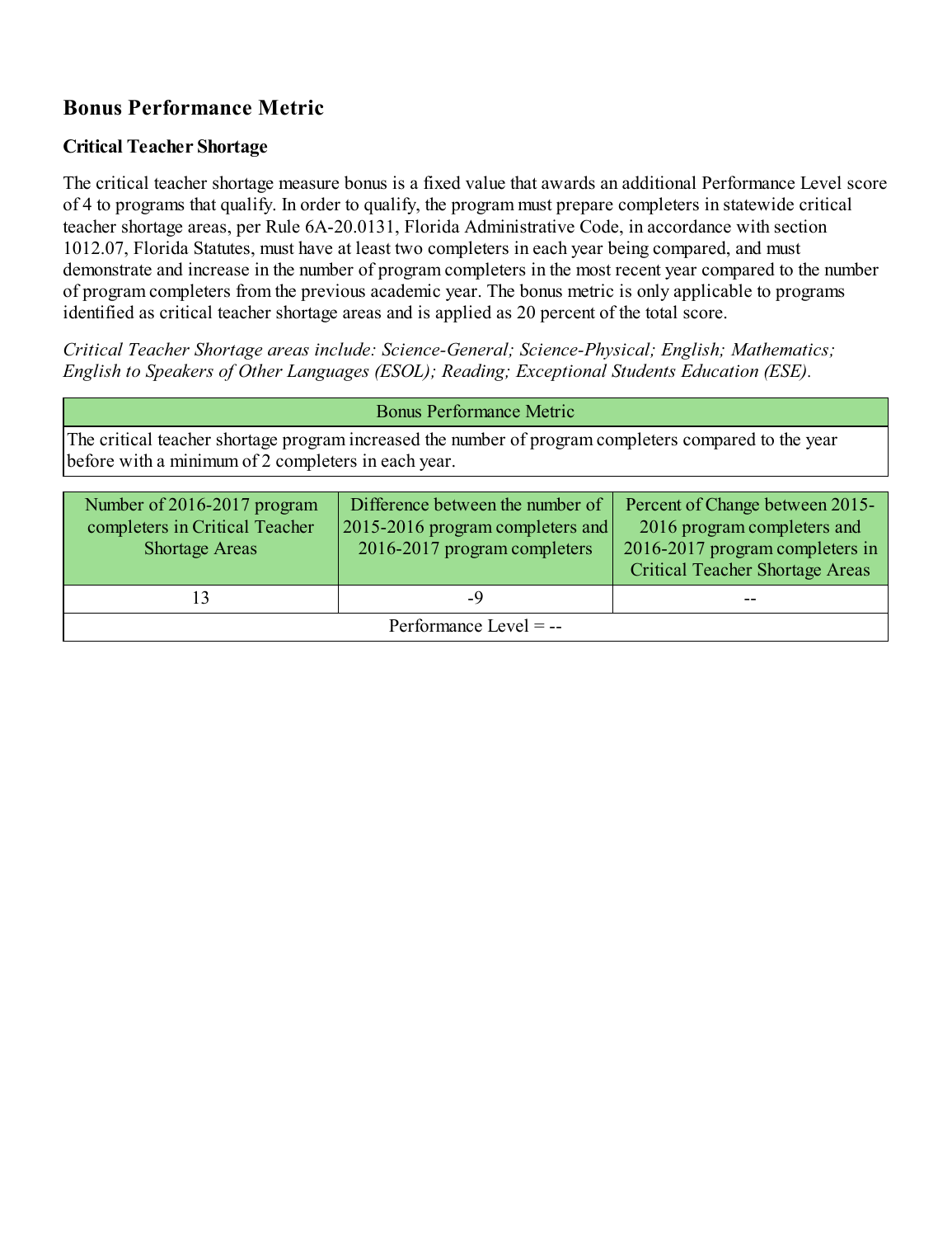# **Bonus Performance Metric**

## **Critical Teacher Shortage**

The critical teacher shortage measure bonus is a fixed value that awards an additional Performance Level score of 4 to programs that qualify. In order to qualify, the programmust prepare completers in statewide critical teacher shortage areas, per Rule 6A-20.0131, Florida Administrative Code, in accordance with section 1012.07, Florida Statutes, must have at least two completers in each year being compared, and must demonstrate and increase in the number of programcompleters in the most recent year compared to the number of programcompleters fromthe previous academic year. The bonus metric is only applicable to programs identified as critical teacher shortage areas and is applied as 20 percent of the total score.

*Critical Teacher Shortage areas include: Science-General; Science-Physical; English; Mathematics; English to Speakers of Other Languages (ESOL); Reading; Exceptional Students Education (ESE).*

| <b>Bonus Performance Metric</b>                                                                                                                              |                                  |                                 |  |  |
|--------------------------------------------------------------------------------------------------------------------------------------------------------------|----------------------------------|---------------------------------|--|--|
| The critical teacher shortage program increased the number of program completers compared to the year<br>before with a minimum of 2 completers in each year. |                                  |                                 |  |  |
|                                                                                                                                                              |                                  |                                 |  |  |
| Number of 2016-2017 program                                                                                                                                  | Difference between the number of | Percent of Change between 2015- |  |  |
| completers in Critical Teacher                                                                                                                               | 2015-2016 program completers and | 2016 program completers and     |  |  |
| <b>Shortage Areas</b>                                                                                                                                        | 2016-2017 program completers     | 2016-2017 program completers in |  |  |

| 12<br>12                 | $\overline{\phantom{a}}$ | -- |
|--------------------------|--------------------------|----|
| Performance Level $=$ -- |                          |    |

Critical Teacher Shortage Areas